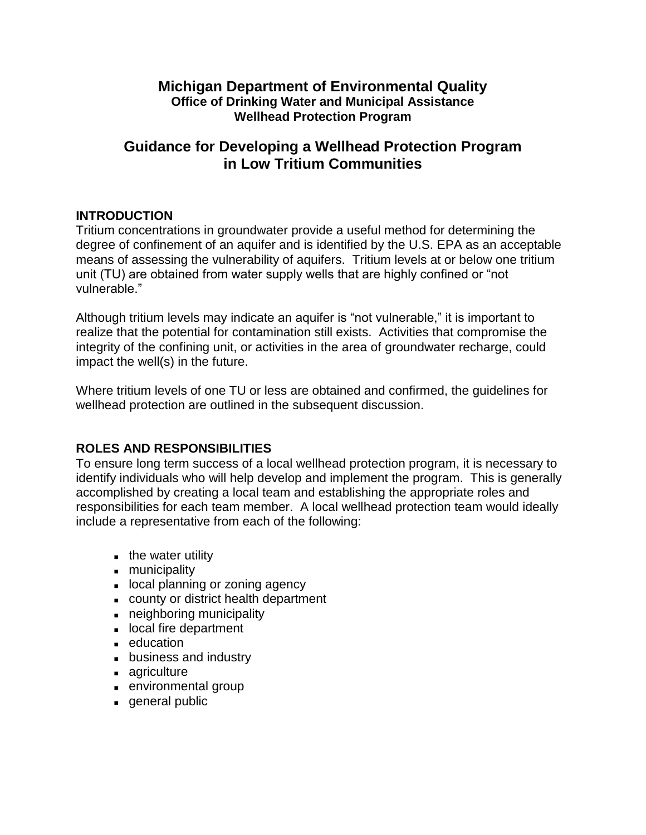## **Michigan Department of Environmental Quality Office of Drinking Water and Municipal Assistance Wellhead Protection Program**

# **Guidance for Developing a Wellhead Protection Program in Low Tritium Communities**

### **INTRODUCTION**

Tritium concentrations in groundwater provide a useful method for determining the degree of confinement of an aquifer and is identified by the U.S. EPA as an acceptable means of assessing the vulnerability of aquifers. Tritium levels at or below one tritium unit (TU) are obtained from water supply wells that are highly confined or "not vulnerable."

Although tritium levels may indicate an aquifer is "not vulnerable," it is important to realize that the potential for contamination still exists. Activities that compromise the integrity of the confining unit, or activities in the area of groundwater recharge, could impact the well(s) in the future.

Where tritium levels of one TU or less are obtained and confirmed, the guidelines for wellhead protection are outlined in the subsequent discussion.

## **ROLES AND RESPONSIBILITIES**

To ensure long term success of a local wellhead protection program, it is necessary to identify individuals who will help develop and implement the program. This is generally accomplished by creating a local team and establishing the appropriate roles and responsibilities for each team member. A local wellhead protection team would ideally include a representative from each of the following:

- $\blacksquare$  the water utility
- **municipality**
- **Iocal planning or zoning agency**
- county or district health department
- neighboring municipality
- **If** local fire department
- **education**
- **business and industry**
- **agriculture**
- **EXECUTE:** environmental group
- **general public**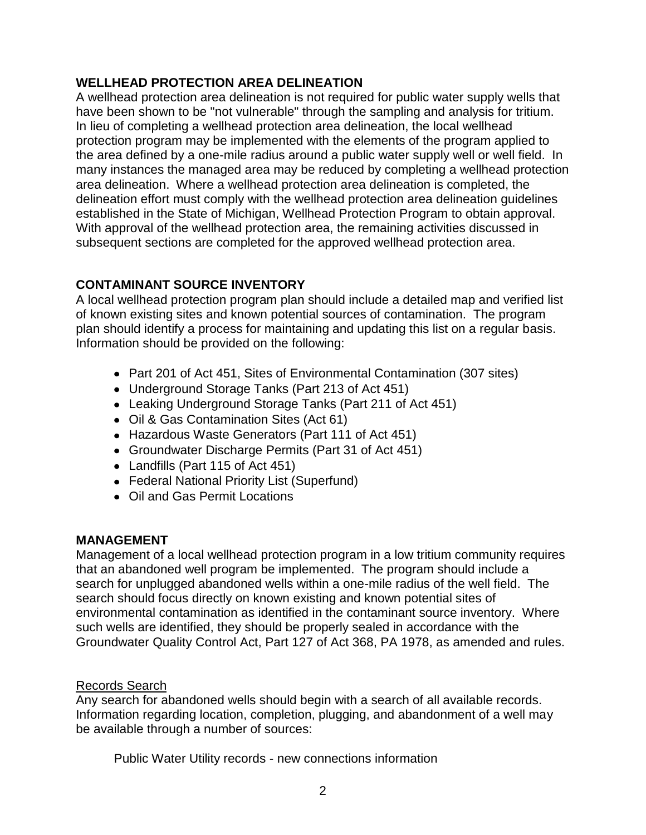## **WELLHEAD PROTECTION AREA DELINEATION**

A wellhead protection area delineation is not required for public water supply wells that have been shown to be "not vulnerable" through the sampling and analysis for tritium. In lieu of completing a wellhead protection area delineation, the local wellhead protection program may be implemented with the elements of the program applied to the area defined by a one-mile radius around a public water supply well or well field. In many instances the managed area may be reduced by completing a wellhead protection area delineation. Where a wellhead protection area delineation is completed, the delineation effort must comply with the wellhead protection area delineation guidelines established in the State of Michigan, Wellhead Protection Program to obtain approval. With approval of the wellhead protection area, the remaining activities discussed in subsequent sections are completed for the approved wellhead protection area.

## **CONTAMINANT SOURCE INVENTORY**

A local wellhead protection program plan should include a detailed map and verified list of known existing sites and known potential sources of contamination. The program plan should identify a process for maintaining and updating this list on a regular basis. Information should be provided on the following:

- Part 201 of Act 451, Sites of Environmental Contamination (307 sites)
- Underground Storage Tanks (Part 213 of Act 451)
- Leaking Underground Storage Tanks (Part 211 of Act 451)
- Oil & Gas Contamination Sites (Act 61)
- Hazardous Waste Generators (Part 111 of Act 451)
- Groundwater Discharge Permits (Part 31 of Act 451)
- Landfills (Part 115 of Act 451)
- Federal National Priority List (Superfund)
- Oil and Gas Permit Locations

## **MANAGEMENT**

Management of a local wellhead protection program in a low tritium community requires that an abandoned well program be implemented. The program should include a search for unplugged abandoned wells within a one-mile radius of the well field. The search should focus directly on known existing and known potential sites of environmental contamination as identified in the contaminant source inventory. Where such wells are identified, they should be properly sealed in accordance with the Groundwater Quality Control Act, Part 127 of Act 368, PA 1978, as amended and rules.

## Records Search

Any search for abandoned wells should begin with a search of all available records. Information regarding location, completion, plugging, and abandonment of a well may be available through a number of sources:

Public Water Utility records - new connections information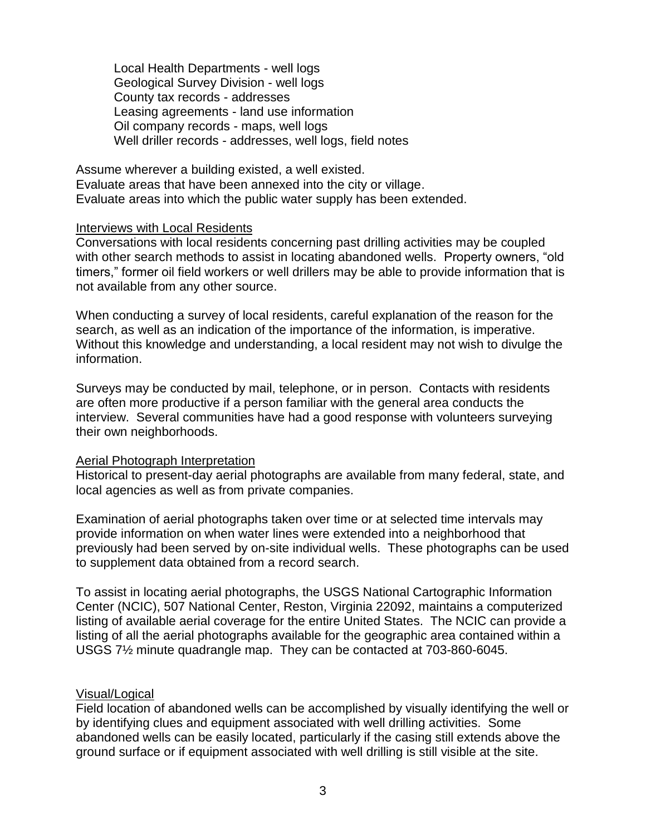Local Health Departments - well logs Geological Survey Division - well logs County tax records - addresses Leasing agreements - land use information Oil company records - maps, well logs Well driller records - addresses, well logs, field notes

Assume wherever a building existed, a well existed. Evaluate areas that have been annexed into the city or village. Evaluate areas into which the public water supply has been extended.

#### Interviews with Local Residents

Conversations with local residents concerning past drilling activities may be coupled with other search methods to assist in locating abandoned wells. Property owners, "old timers," former oil field workers or well drillers may be able to provide information that is not available from any other source.

When conducting a survey of local residents, careful explanation of the reason for the search, as well as an indication of the importance of the information, is imperative. Without this knowledge and understanding, a local resident may not wish to divulge the information.

Surveys may be conducted by mail, telephone, or in person. Contacts with residents are often more productive if a person familiar with the general area conducts the interview. Several communities have had a good response with volunteers surveying their own neighborhoods.

### **Aerial Photograph Interpretation**

Historical to present-day aerial photographs are available from many federal, state, and local agencies as well as from private companies.

Examination of aerial photographs taken over time or at selected time intervals may provide information on when water lines were extended into a neighborhood that previously had been served by on-site individual wells. These photographs can be used to supplement data obtained from a record search.

To assist in locating aerial photographs, the USGS National Cartographic Information Center (NCIC), 507 National Center, Reston, Virginia 22092, maintains a computerized listing of available aerial coverage for the entire United States. The NCIC can provide a listing of all the aerial photographs available for the geographic area contained within a USGS 7½ minute quadrangle map. They can be contacted at 703-860-6045.

#### Visual/Logical

Field location of abandoned wells can be accomplished by visually identifying the well or by identifying clues and equipment associated with well drilling activities. Some abandoned wells can be easily located, particularly if the casing still extends above the ground surface or if equipment associated with well drilling is still visible at the site.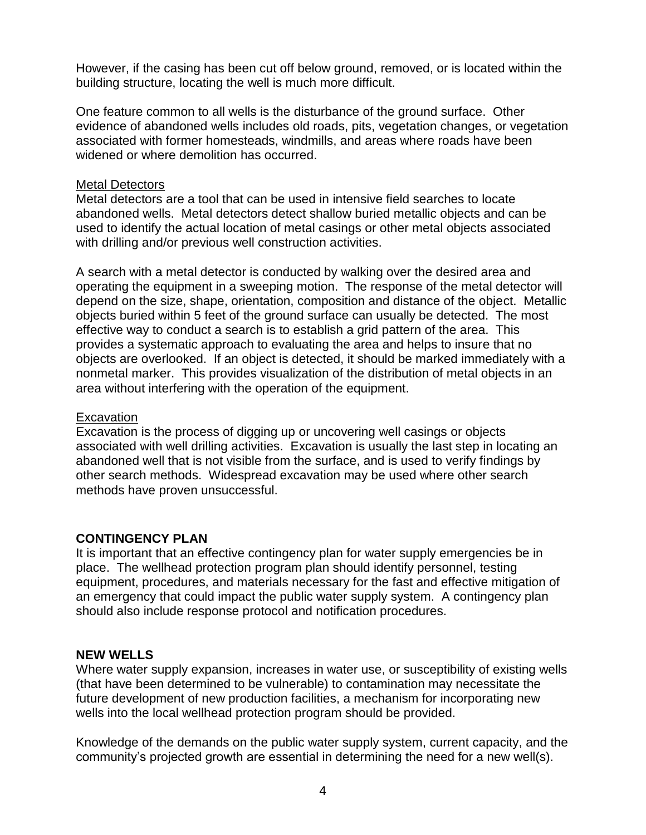However, if the casing has been cut off below ground, removed, or is located within the building structure, locating the well is much more difficult.

One feature common to all wells is the disturbance of the ground surface. Other evidence of abandoned wells includes old roads, pits, vegetation changes, or vegetation associated with former homesteads, windmills, and areas where roads have been widened or where demolition has occurred.

### Metal Detectors

Metal detectors are a tool that can be used in intensive field searches to locate abandoned wells. Metal detectors detect shallow buried metallic objects and can be used to identify the actual location of metal casings or other metal objects associated with drilling and/or previous well construction activities.

A search with a metal detector is conducted by walking over the desired area and operating the equipment in a sweeping motion. The response of the metal detector will depend on the size, shape, orientation, composition and distance of the object. Metallic objects buried within 5 feet of the ground surface can usually be detected. The most effective way to conduct a search is to establish a grid pattern of the area. This provides a systematic approach to evaluating the area and helps to insure that no objects are overlooked. If an object is detected, it should be marked immediately with a nonmetal marker. This provides visualization of the distribution of metal objects in an area without interfering with the operation of the equipment.

### **Excavation**

Excavation is the process of digging up or uncovering well casings or objects associated with well drilling activities. Excavation is usually the last step in locating an abandoned well that is not visible from the surface, and is used to verify findings by other search methods. Widespread excavation may be used where other search methods have proven unsuccessful.

### **CONTINGENCY PLAN**

It is important that an effective contingency plan for water supply emergencies be in place. The wellhead protection program plan should identify personnel, testing equipment, procedures, and materials necessary for the fast and effective mitigation of an emergency that could impact the public water supply system. A contingency plan should also include response protocol and notification procedures.

### **NEW WELLS**

Where water supply expansion, increases in water use, or susceptibility of existing wells (that have been determined to be vulnerable) to contamination may necessitate the future development of new production facilities, a mechanism for incorporating new wells into the local wellhead protection program should be provided.

Knowledge of the demands on the public water supply system, current capacity, and the community's projected growth are essential in determining the need for a new well(s).